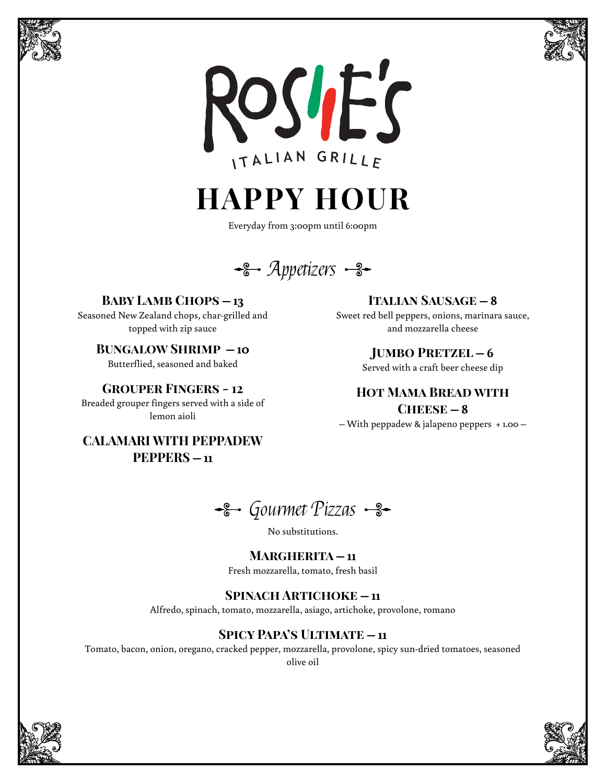





**HAPPY HOUR**

Everyday from 3:00pm until 6:00pm

 $\div$  Appetizers  $\div$ 

**Baby Lamb Chops – 13**

Seasoned New Zealand chops, char-grilled and topped with zip sauce

**Bungalow Shrimp – 10** Butterflied, seasoned and baked

**Grouper Fingers - 12**

Breaded grouper fingers served with a side of lemon aioli

**CALAMARI WITH PEPPADEW PEPPERS – 11**

**Italian Sausage – 8**

Sweet red bell peppers, onions, marinara sauce, and mozzarella cheese

**Jumbo Pretzel – 6**

Served with a craft beer cheese dip

**Hot Mama Bread with**  $CHERSE - 8$ – With peppadew & jalapeno peppers + 1.00 –

Gourmet Pizzas <del>S-</del>

No substitutions.

#### **Margherita – 11**

Fresh mozzarella, tomato, fresh basil

### **Spinach Artichoke – 11**

Alfredo, spinach, tomato, mozzarella, asiago, artichoke, provolone, romano

### **Spicy Papa's Ultimate – 11**

Tomato, bacon, onion, oregano, cracked pepper, mozzarella, provolone, spicy sun-dried tomatoes, seasoned olive oil



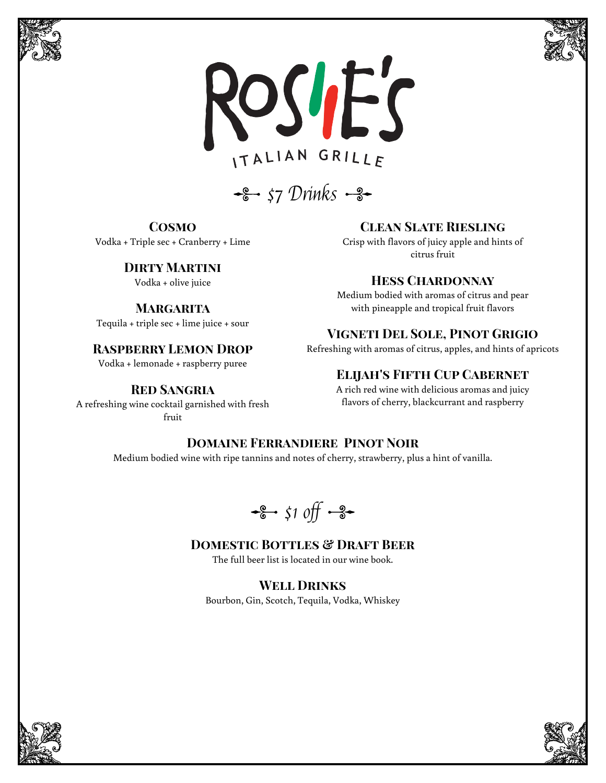





 $\frac{12}{5}$  57 Drinks  $\frac{9}{5}$ 

**Cosmo** Vodka + Triple sec + Cranberry + Lime

### **Dirty Martini**

Tequila + triple sec + lime juice + sour

Vodka + lemonade + raspberry puree

#### **Red Sangria**

A refreshing wine cocktail garnished with fresh fruit

**Clean Slate Riesling**

Crisp with flavors of juicy apple and hints of citrus fruit

#### Vodka + olive juice **Hess Chardonnay**

Medium bodied with aromas of citrus and pear **MARGARITA MARGARITA** with pineapple and tropical fruit flavors

### **Vigneti Del Sole, Pinot Grigio**

**RASPBERRY LEMON DROP** Refreshing with aromas of citrus, apples, and hints of apricots

### **Elijah's Fifth Cup Cabernet**

A rich red wine with delicious aromas and juicy flavors of cherry, blackcurrant and raspberry

#### **Domaine Ferrandiere Pinot Noir**

Medium bodied wine with ripe tannins and notes of cherry, strawberry, plus a hint of vanilla.

 $\frac{1}{6}$  \$1 off  $\frac{1}{3}$ 

### **DOMESTIC BOTTLES & DRAFT BEER**

The full beer list is located in our wine book.

**Well Drinks** Bourbon, Gin, Scotch, Tequila, Vodka, Whiskey



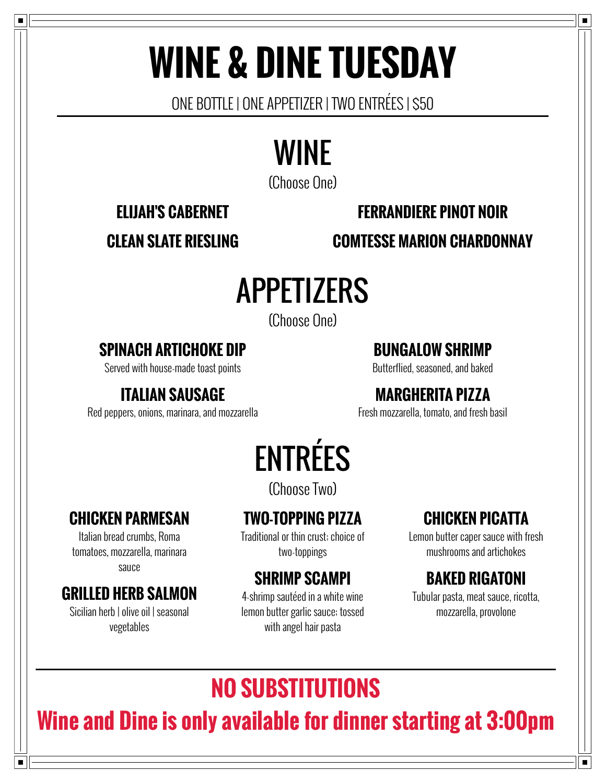# **WINE & DINE TUESDAY**

ONE BOTTLE | ONE APPETIZER | TWO ENTRÉES | \$50

# WINE

(Choose One)

### **ELIJAH'S CABERNET FERRANDIERE PINOT NOIR**

**CLEAN SLATE RIESLING COMTESSE MARION CHARDONNAY**

# APPETIZERS

(Choose One)

### **SPINACH ARTICHOKE DIP**

Served with house-made toast points

### **ITALIAN SAUSAGE**

Red peppers, onions, marinara, and mozzarella

### **BUNGALOW SHRIMP**

Butterflied, seasoned, and baked

### **MARGHERITA PIZZA**

Fresh mozzarella, tomato, and fresh basil

# ENTRÉES

(Choose Two)

### **CHICKEN PARMESAN**

Italian bread crumbs, Roma tomatoes, mozzarella, marinara sauce

### **GRILLED HERB SALMON**

Sicilian herb | olive oil | seasonal vegetables

### **TWO-TOPPING PIZZA**

Traditional or thin crust; choice of two-toppings

### **SHRIMP SCAMPI**

4-shrimp sautéed in a white wine lemon butter garlic sauce; tossed with angel hair pasta

### **CHICKEN PICATTA**

Lemon butter caper sauce with fresh mushrooms and artichokes

### **BAKED RIGATONI**

Tubular pasta, meat sauce, ricotta, mozzarella, provolone

## **NO SUBSTITUTIONS**

## **Wine and Dine is only available for dinner starting at 3:00pm**